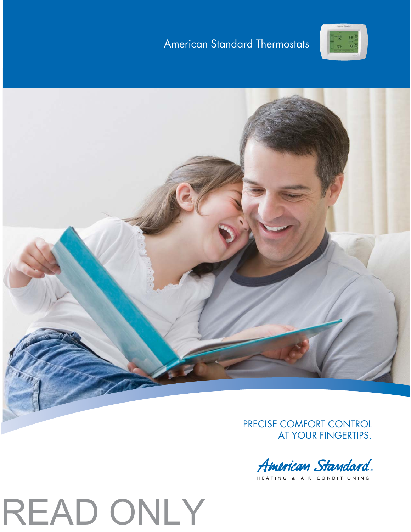## American Standard Thermostats





PRECISE COMFORT CONTROL AT YOUR FINGERTIPS.

American Standard.

HEATING & AIR CONDITIONING

# READ ONLY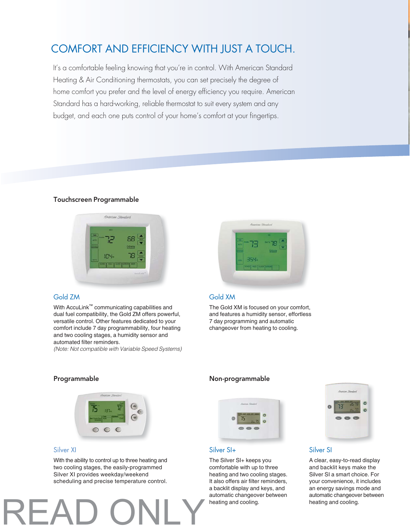## COMFORT AND EFFICIENCY WITH JUST A TOUCH.

It's a comfortable feeling knowing that you're in control. With American Standard Heating & Air Conditioning thermostats, you can set precisely the degree of home comfort you prefer and the level of energy efficiency you require. American Standard has a hard-working, reliable thermostat to suit every system and any budget, and each one puts control of your home's comfort at your fingertips.

## Touchscreen Programmable



## Gold ZM

With AccuLink™ communicating capabilities and dual fuel compatibility, the Gold ZM offers powerful, versatile control. Other features dedicated to your comfort include 7 day programmability, four heating and two cooling stages, a humidity sensor and automated filter reminders.

(Note: Not compatible with Variable Speed Systems)



## Gold XM

The Gold XM is focused on your comfort, and features a humidity sensor, effortless 7 day programming and automatic changeover from heating to cooling.

## Programmable **Non-programmable**



## Silver XI

With the ability to control up to three heating and two cooling stages, the easily-programmed Silver XI provides weekday/weekend scheduling and precise temperature control.

READ ONLY



## Silver SI+

The Silver SI+ keeps you comfortable with up to three heating and two cooling stages. It also offers air filter reminders, a backlit display and keys, and automatic changeover between heating and cooling.



## Silver SI

A clear, easy-to-read display and backlit keys make the Silver SI a smart choice. For your convenience, it includes an energy savings mode and automatic changeover between heating and cooling.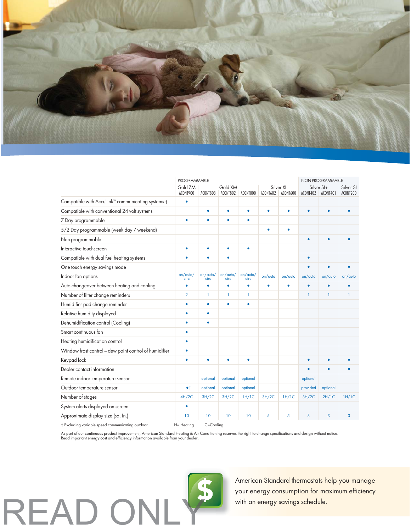

|                                                        | <b>PROGRAMMABLE</b> |                  |                     |                  |           |                       | NON-PROGRAMMABLE |                        |                       |
|--------------------------------------------------------|---------------------|------------------|---------------------|------------------|-----------|-----------------------|------------------|------------------------|-----------------------|
|                                                        | Gold ZM<br>ACONT900 | ACONT803         | Gold XM<br>ACONT802 | ACONT800         | ACONT602  | Silver XI<br>ACONT600 | ACONT402         | Silver SI+<br>ACONT401 | Silver SI<br>ACONT200 |
| Compatible with AccuLink™ communicating systems †      | ٠                   |                  |                     |                  |           |                       |                  |                        |                       |
| Compatible with conventional 24 volt systems           |                     | $\bullet$        | ٠                   | ۰                | $\bullet$ | $\bullet$             | ٠                |                        |                       |
| 7 Day programmable                                     |                     | ٠                |                     | ٠                |           |                       |                  |                        |                       |
| 5/2 Day programmable (week day / weekend)              |                     |                  |                     |                  | ٠         | $\bullet$             |                  |                        |                       |
| Non-programmable                                       |                     |                  |                     |                  |           |                       | ٠                | $\bullet$              |                       |
| Interactive touchscreen                                | ٠                   | $\bullet$        | ٠                   | ٠                |           |                       |                  |                        |                       |
| Compatible with dual fuel heating systems              |                     | ۰                | ۰                   |                  |           |                       | $\bullet$        |                        |                       |
| One touch energy savings mode                          |                     |                  |                     |                  |           |                       | ٠                |                        |                       |
| Indoor fan options                                     | on/auto/<br>circ    | on/auto/<br>circ | on/auto/<br>circ    | on/auto/<br>circ | on/auto   | on/auto               | on/auto          | on/auto                | on/auto               |
| Auto changeover between heating and cooling            | ٠                   | ۰                | ۰                   | ٠                | ٠         | $\bullet$             | $\bullet$        | $\bullet$              |                       |
| Number of filter change reminders                      | $\overline{2}$      | 1                | 1                   | 1                |           |                       | 1                | 1                      | 1                     |
| Humidifier pad change reminder                         | ۰                   | ۰                | ۰                   | ٠                |           |                       |                  |                        |                       |
| Relative humidity displayed                            | ٠                   | ٠                |                     |                  |           |                       |                  |                        |                       |
| Dehumidification control (Cooling)                     | ٠                   | ۰                |                     |                  |           |                       |                  |                        |                       |
| Smart continuous fan                                   | $\bullet$           |                  |                     |                  |           |                       |                  |                        |                       |
| Heating humidification control                         | ٠                   |                  |                     |                  |           |                       |                  |                        |                       |
| Window frost control - dew point control of humidifier | ٠                   |                  |                     |                  |           |                       |                  |                        |                       |
| Keypad lock                                            | ٠                   | ٠                | ٠                   | ٠                |           |                       | ٠                | $\bullet$              |                       |
| Dealer contact information                             |                     |                  |                     |                  |           |                       |                  | ٠                      |                       |
| Remote indoor temperature sensor                       |                     | optional         | optional            | optional         |           |                       | optional         |                        |                       |
| Outdoor temperature sensor                             | • <sub>†</sub>      | optional         | optional            | optional         |           |                       | provided         | optional               |                       |
| Number of stages                                       | 4H/2C               | 3H/2C            | 3H/2C               | 1H/1C            | 3H/2C     | 1H/1C                 | 3H/2C            | 2H/1C                  | 1H/1C                 |
| System alerts displayed on screen                      | ٠                   |                  |                     |                  |           |                       |                  |                        |                       |
| Approximate display size (sq. In.)                     | 10                  | 10               | 10                  | 10               | 5         | 5                     | 3                | 3                      | 3                     |
| † Excluding variable speed communicating outdoor       | $H = Heating$       | C=Cooling        |                     |                  |           |                       |                  |                        |                       |

As part of our continuous product improvement, American Standard Heating & Air Conditioning reserves the right to change specifications and design without notice.<br>Read important energy cost and efficiency information avail



American Standard thermostats help you manage your energy consumption for maximum efficiency